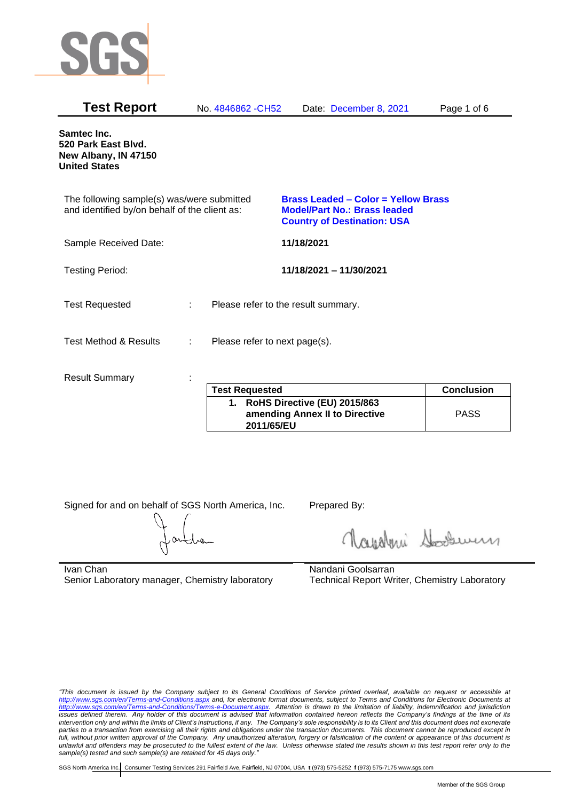

| <b>Test Report</b>                                                                          |   | No. 4846862 - CH52                  | Date: December 8, 2021                                                                                           | Page 1 of 6       |
|---------------------------------------------------------------------------------------------|---|-------------------------------------|------------------------------------------------------------------------------------------------------------------|-------------------|
| Samtec Inc.<br>520 Park East Blvd.<br>New Albany, IN 47150<br><b>United States</b>          |   |                                     |                                                                                                                  |                   |
| The following sample(s) was/were submitted<br>and identified by/on behalf of the client as: |   |                                     | Brass Leaded - Color = Yellow Brass<br><b>Model/Part No.: Brass leaded</b><br><b>Country of Destination: USA</b> |                   |
| Sample Received Date:                                                                       |   |                                     | 11/18/2021                                                                                                       |                   |
| <b>Testing Period:</b>                                                                      |   |                                     | 11/18/2021 - 11/30/2021                                                                                          |                   |
| <b>Test Requested</b>                                                                       | ÷ | Please refer to the result summary. |                                                                                                                  |                   |
| <b>Test Method &amp; Results</b>                                                            | ÷ | Please refer to next page(s).       |                                                                                                                  |                   |
| <b>Result Summary</b>                                                                       |   | <b>Test Requested</b>               |                                                                                                                  | <b>Conclusion</b> |
|                                                                                             |   |                                     |                                                                                                                  |                   |

| <b>Test Requested</b>                                                           | <b>Conclusion</b> |
|---------------------------------------------------------------------------------|-------------------|
| 1. RoHS Directive (EU) 2015/863<br>amending Annex II to Directive<br>2011/65/EU | <b>PASS</b>       |

Signed for and on behalf of SGS North America, Inc. Prepared By:

Napoleri Sooseman

Ivan Chan Senior Laboratory manager, Chemistry laboratory Nandani Goolsarran Technical Report Writer, Chemistry Laboratory

*"This document is issued by the Company subject to its General Conditions of Service printed overleaf, available on request or accessible at <http://www.sgs.com/en/Terms-and-Conditions.aspx> and, for electronic format documents, subject to Terms and Conditions for Electronic Documents at [http://www.sgs.com/en/Terms-and-Conditions/Terms-e-Document.aspx.](http://www.sgs.com/en/Terms-and-Conditions/Terms-e-Document.aspx) Attention is drawn to the limitation of liability, indemnification and jurisdiction issues defined therein. Any holder of this document is advised that information contained hereon reflects the Company's findings at the time of its intervention only and within the limits of Client's instructions, if any. The Company's sole responsibility is to its Client and this document does not exonerate parties to a transaction from exercising all their rights and obligations under the transaction documents. This document cannot be reproduced except in full, without prior written approval of the Company. Any unauthorized alteration, forgery or falsification of the content or appearance of this document is unlawful and offenders may be prosecuted to the fullest extent of the law. Unless otherwise stated the results shown in this test report refer only to the sample(s) tested and such sample(s) are retained for 45 days only."*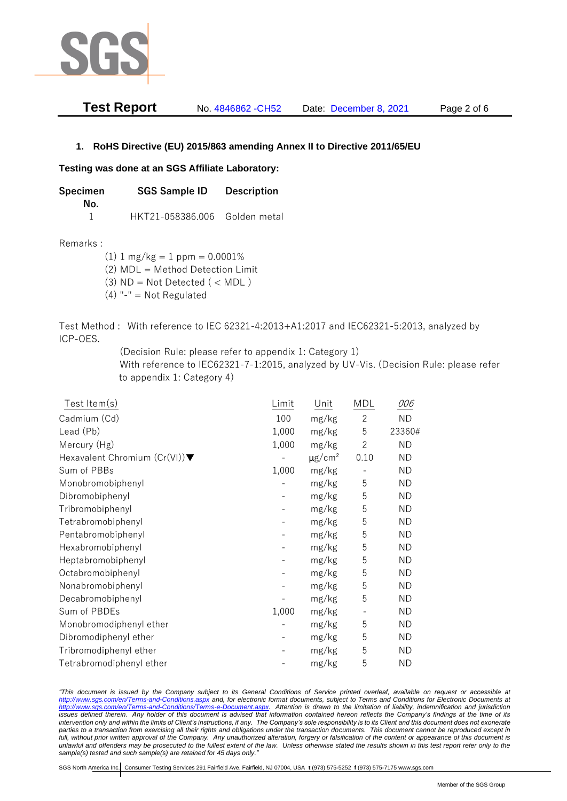

| <b>Test Report</b> | No. 4846862 - CH52 | Date: December 8, 2021 | Page 2 of 6 |
|--------------------|--------------------|------------------------|-------------|
|--------------------|--------------------|------------------------|-------------|

## **1. RoHS Directive (EU) 2015/863 amending Annex II to Directive 2011/65/EU**

## **Testing was done at an SGS Affiliate Laboratory:**

**Specimen SGS Sample ID Description No.** 1 HKT21-058386.006 Golden metal

Remarks :

 $(1)$  1 mg/kg = 1 ppm = 0.0001%

(2) MDL = Method Detection Limit

- $(3)$  ND = Not Detected  $($  < MDL)
- (4) "-" = Not Regulated

Test Method : With reference to IEC 62321-4:2013+A1:2017 and IEC62321-5:2013, analyzed by ICP-OES.

(Decision Rule: please refer to appendix 1: Category 1)

With reference to IEC62321-7-1:2015, analyzed by UV-Vis. (Decision Rule: please refer to appendix 1: Category 4)

| Test Item $(s)$                                  | Limit                    | Unit                    | MDL                      | 006       |
|--------------------------------------------------|--------------------------|-------------------------|--------------------------|-----------|
| Cadmium (Cd)                                     | 100                      | mg/kg                   | $\overline{2}$           | <b>ND</b> |
| Lead (Pb)                                        | 1,000                    | mg/kg                   | 5                        | 23360#    |
| Mercury (Hg)                                     | 1,000                    | mg/kg                   | $\overline{2}$           | <b>ND</b> |
| Hexavalent Chromium $(Cr(VI))\blacktriangledown$ |                          | $\mu$ g/cm <sup>2</sup> | 0.10                     | <b>ND</b> |
| Sum of PBBs                                      | 1,000                    | mg/kg                   | $\qquad \qquad -$        | ND.       |
| Monobromobiphenyl                                |                          | mg/kg                   | 5                        | <b>ND</b> |
| Dibromobiphenyl                                  |                          | mg/kg                   | 5                        | <b>ND</b> |
| Tribromobiphenyl                                 | $\overline{\phantom{a}}$ | mg/kg                   | 5                        | <b>ND</b> |
| Tetrabromobiphenyl                               |                          | mg/kg                   | 5                        | ND.       |
| Pentabromobiphenyl                               |                          | mg/kg                   | 5                        | <b>ND</b> |
| Hexabromobiphenyl                                |                          | mg/kg                   | 5                        | <b>ND</b> |
| Heptabromobiphenyl                               | $\overline{\phantom{a}}$ | mg/kg                   | 5                        | ND.       |
| Octabromobiphenyl                                |                          | mg/kg                   | 5                        | <b>ND</b> |
| Nonabromobiphenyl                                |                          | mg/kg                   | 5                        | <b>ND</b> |
| Decabromobiphenyl                                |                          | mg/kg                   | 5                        | ND.       |
| Sum of PBDEs                                     | 1,000                    | mg/kg                   | $\overline{\phantom{a}}$ | <b>ND</b> |
| Monobromodiphenyl ether                          |                          | mg/kg                   | 5                        | <b>ND</b> |
| Dibromodiphenyl ether                            |                          | mg/kg                   | 5                        | ND.       |
| Tribromodiphenyl ether                           |                          | mg/kg                   | 5                        | <b>ND</b> |
| Tetrabromodiphenyl ether                         |                          | mg/kg                   | 5                        | <b>ND</b> |

*"This document is issued by the Company subject to its General Conditions of Service printed overleaf, available on request or accessible at <http://www.sgs.com/en/Terms-and-Conditions.aspx> and, for electronic format documents, subject to Terms and Conditions for Electronic Documents at [http://www.sgs.com/en/Terms-and-Conditions/Terms-e-Document.aspx.](http://www.sgs.com/en/Terms-and-Conditions/Terms-e-Document.aspx) Attention is drawn to the limitation of liability, indemnification and jurisdiction issues defined therein. Any holder of this document is advised that information contained hereon reflects the Company's findings at the time of its intervention only and within the limits of Client's instructions, if any. The Company's sole responsibility is to its Client and this document does not exonerate parties to a transaction from exercising all their rights and obligations under the transaction documents. This document cannot be reproduced except in full, without prior written approval of the Company. Any unauthorized alteration, forgery or falsification of the content or appearance of this document is unlawful and offenders may be prosecuted to the fullest extent of the law. Unless otherwise stated the results shown in this test report refer only to the sample(s) tested and such sample(s) are retained for 45 days only."*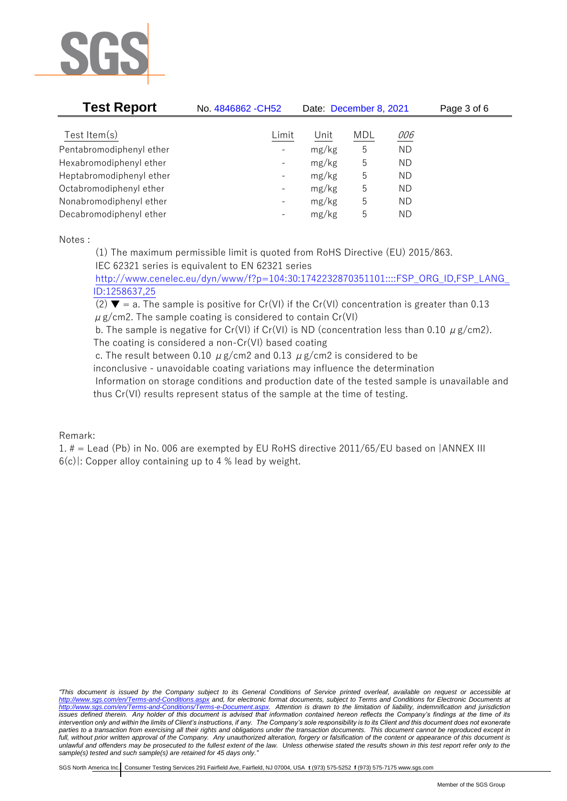

| <b>Test Report</b>       | No. 4846862 - CH52       | Date: December 8, 2021 |            |            | Page 3 of 6 |
|--------------------------|--------------------------|------------------------|------------|------------|-------------|
| Test Item $(s)$          | Limit                    | Unit                   | <b>MDL</b> | <u>006</u> |             |
| Pentabromodiphenyl ether | $\overline{\phantom{a}}$ | mg/kg                  | 5          | <b>ND</b>  |             |
| Hexabromodiphenyl ether  | $\overline{\phantom{a}}$ | mg/kg                  | 5          | <b>ND</b>  |             |
| Heptabromodiphenyl ether | $\overline{\phantom{a}}$ | mg/kg                  | 5          | <b>ND</b>  |             |
| Octabromodiphenyl ether  | $\overline{\phantom{a}}$ | mg/kg                  | 5          | <b>ND</b>  |             |
| Nonabromodiphenyl ether  | $\overline{\phantom{a}}$ | mg/kg                  | 5          | ΝD         |             |
| Decabromodiphenyl ether  | $\overline{\phantom{a}}$ | mg/kg                  | 5          | ΝD         |             |

Notes :

(1) The maximum permissible limit is quoted from RoHS Directive (EU) 2015/863. IEC 62321 series is equivalent to EN 62321 series

[http://www.cenelec.eu/dyn/www/f?p=104:30:1742232870351101::::FSP\\_ORG\\_ID,FSP\\_LANG\\_](http://www.cenelec.eu/dyn/www/f?p=104:30:1742232870351101::::FSP_ORG_ID,FSP_LANG_ID:1258637,25) [ID:1258637,25](http://www.cenelec.eu/dyn/www/f?p=104:30:1742232870351101::::FSP_ORG_ID,FSP_LANG_ID:1258637,25)

(2)  $\blacktriangledown$  = a. The sample is positive for Cr(VI) if the Cr(VI) concentration is greater than 0.13  $\mu$  g/cm2. The sample coating is considered to contain Cr(VI)

b. The sample is negative for Cr(VI) if Cr(VI) is ND (concentration less than 0.10  $\mu$  g/cm2). The coating is considered a non-Cr(VI) based coating

c. The result between 0.10  $\mu$  g/cm2 and 0.13  $\mu$  g/cm2 is considered to be

inconclusive - unavoidable coating variations may influence the determination Information on storage conditions and production date of the tested sample is unavailable and

thus Cr(VI) results represent status of the sample at the time of testing.

## Remark:

1. # = Lead (Pb) in No. 006 are exempted by EU RoHS directive 2011/65/EU based on |ANNEX III 6(c)|: Copper alloy containing up to 4 % lead by weight.

*"This document is issued by the Company subject to its General Conditions of Service printed overleaf, available on request or accessible at <http://www.sgs.com/en/Terms-and-Conditions.aspx> and, for electronic format documents, subject to Terms and Conditions for Electronic Documents at [http://www.sgs.com/en/Terms-and-Conditions/Terms-e-Document.aspx.](http://www.sgs.com/en/Terms-and-Conditions/Terms-e-Document.aspx) Attention is drawn to the limitation of liability, indemnification and jurisdiction issues defined therein. Any holder of this document is advised that information contained hereon reflects the Company's findings at the time of its intervention only and within the limits of Client's instructions, if any. The Company's sole responsibility is to its Client and this document does not exonerate*  parties to a transaction from exercising all their rights and obligations under the transaction documents. This document cannot be reproduced except in *full, without prior written approval of the Company. Any unauthorized alteration, forgery or falsification of the content or appearance of this document is unlawful and offenders may be prosecuted to the fullest extent of the law. Unless otherwise stated the results shown in this test report refer only to the sample(s) tested and such sample(s) are retained for 45 days only."*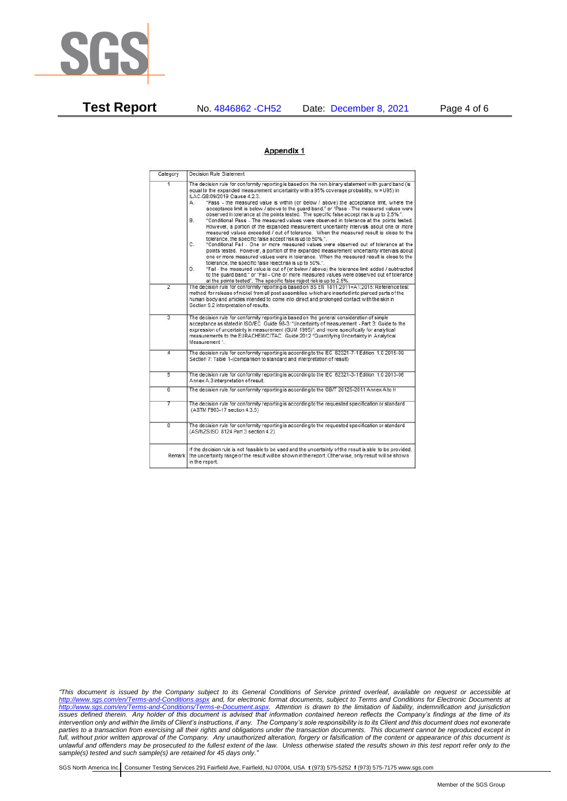

**Test Report** No. 4846862 -CH52 Date: December 8, 2021 Page 4 of 6

## Appendix 1

| Category       | Decision Rule Statement                                                                                                                                                                                                                                                                                                                                                                                                                                                                                                                                                                                                                                                                                                                                                                                                                                                                                                                                                                                                                                                                                                                                                                                                                                                                                                                                                                                                                                                                                            |
|----------------|--------------------------------------------------------------------------------------------------------------------------------------------------------------------------------------------------------------------------------------------------------------------------------------------------------------------------------------------------------------------------------------------------------------------------------------------------------------------------------------------------------------------------------------------------------------------------------------------------------------------------------------------------------------------------------------------------------------------------------------------------------------------------------------------------------------------------------------------------------------------------------------------------------------------------------------------------------------------------------------------------------------------------------------------------------------------------------------------------------------------------------------------------------------------------------------------------------------------------------------------------------------------------------------------------------------------------------------------------------------------------------------------------------------------------------------------------------------------------------------------------------------------|
| $\overline{1}$ | The decision rule for conformity reporting is based on the non-binary statement with quard band (is<br>equal to the expanded measurement uncertainty with a 95% coverage probability, w = U95) in<br>ILAC-G8:09/2019 Clause 4.2.3.<br>"Pass - the measured value is within (or below / above) the acceptance limit, where the<br>А.<br>acceptance limit is below / above to the quard band." or "Pass - The measured values were<br>observed in tolerance at the points tested. The specific false accept risk is up to 2.5%.".<br>"Conditional Pass - The measured values were observed in tolerance at the points tested.<br>В.<br>However, a portion of the expanded measurement uncertainty intervals about one or more<br>measured values exceeded / out of tolerance. When the measured result is close to the<br>tolerance, the specific false accept risk is up to 50%.".<br>C.<br>"Conditional Fail - One or more measured values were observed out of tolerance at the<br>points tested. However, a portion of the expanded measurement uncertainty intervals about<br>one or more measured values were in tolerance. When the measured result is close to the<br>tolerance, the specific false reject risk is up to 50%.".<br>"Fail - the measured value is out of (or below / above) the tolerance limit added / subtracted<br>D.<br>to the quard band." or "Fail - One or more measured values were observed out of tolerance<br>at the points tested". The specific false reject risk is up to 2.5%. |
| $\overline{2}$ | The decision rule for conformity reporting is based on BS EN 1811:2011+A1:2015: Reference test<br>method for release of nickel from all post assemblies which are inserted into pierced parts of the<br>human body and articles intended to come into direct and prolonged contact with the skin in<br>Section 9.2 interpretation of results.                                                                                                                                                                                                                                                                                                                                                                                                                                                                                                                                                                                                                                                                                                                                                                                                                                                                                                                                                                                                                                                                                                                                                                      |
| $\overline{3}$ | The decision rule for conformity reporting is based on the general consideration of simple<br>acceptance as stated in ISO/IEC Guide 98-3: "Uncertainty of measurement - Part 3: Guide to the<br>expression of uncertainty in measurement (GUM 1995)", and more specifically for analytical<br>measurements to the EURACHEM/CITAC Guide 2012 "Quantifying Uncertainty in Analytical<br>Measurement *                                                                                                                                                                                                                                                                                                                                                                                                                                                                                                                                                                                                                                                                                                                                                                                                                                                                                                                                                                                                                                                                                                                |
| 4              | The decision rule for conformity reporting is according to the IEC 62321-7-1 Edition 1.0 2015-09<br>Section 7: Table 1-(comparison to standard and interpretation of result)                                                                                                                                                                                                                                                                                                                                                                                                                                                                                                                                                                                                                                                                                                                                                                                                                                                                                                                                                                                                                                                                                                                                                                                                                                                                                                                                       |
| $\overline{5}$ | The decision rule for conformity reporting is according to the IEC 62321-3-1 Edition 1.0 2013-06<br>Annex A.3 interpretation of result.                                                                                                                                                                                                                                                                                                                                                                                                                                                                                                                                                                                                                                                                                                                                                                                                                                                                                                                                                                                                                                                                                                                                                                                                                                                                                                                                                                            |
| $\overline{6}$ | The decision rule for conformity reporting is according to the GB/T 26125-2011 Annex A to H                                                                                                                                                                                                                                                                                                                                                                                                                                                                                                                                                                                                                                                                                                                                                                                                                                                                                                                                                                                                                                                                                                                                                                                                                                                                                                                                                                                                                        |
| 7              | The decision rule for conformity reporting is according to the requested specification or standard<br>(ASTM F963-17 section 4.3.5)                                                                                                                                                                                                                                                                                                                                                                                                                                                                                                                                                                                                                                                                                                                                                                                                                                                                                                                                                                                                                                                                                                                                                                                                                                                                                                                                                                                 |
| $\overline{8}$ | The decision rule for conformity reporting is according to the requested specification or standard<br>(AS/NZS ISO 8124 Part 3 section 4.2)                                                                                                                                                                                                                                                                                                                                                                                                                                                                                                                                                                                                                                                                                                                                                                                                                                                                                                                                                                                                                                                                                                                                                                                                                                                                                                                                                                         |
| Remark         | If the decision rule is not feasible to be used and the uncertainty of the result is able to be provided.<br>the uncertainty range of the result will be shown in the report. Otherwise, only result will be shown<br>in the report.                                                                                                                                                                                                                                                                                                                                                                                                                                                                                                                                                                                                                                                                                                                                                                                                                                                                                                                                                                                                                                                                                                                                                                                                                                                                               |

*"This document is issued by the Company subject to its General Conditions of Service printed overleaf, available on request or accessible at <http://www.sgs.com/en/Terms-and-Conditions.aspx> and, for electronic format documents, subject to Terms and Conditions for Electronic Documents at [http://www.sgs.com/en/Terms-and-Conditions/Terms-e-Document.aspx.](http://www.sgs.com/en/Terms-and-Conditions/Terms-e-Document.aspx) Attention is drawn to the limitation of liability, indemnification and jurisdiction issues defined therein. Any holder of this document is advised that information contained hereon reflects the Company's findings at the time of its intervention only and within the limits of Client's instructions, if any. The Company's sole responsibility is to its Client and this document does not exonerate parties to a transaction from exercising all their rights and obligations under the transaction documents. This document cannot be reproduced except in full, without prior written approval of the Company. Any unauthorized alteration, forgery or falsification of the content or appearance of this document is unlawful and offenders may be prosecuted to the fullest extent of the law. Unless otherwise stated the results shown in this test report refer only to the sample(s) tested and such sample(s) are retained for 45 days only."*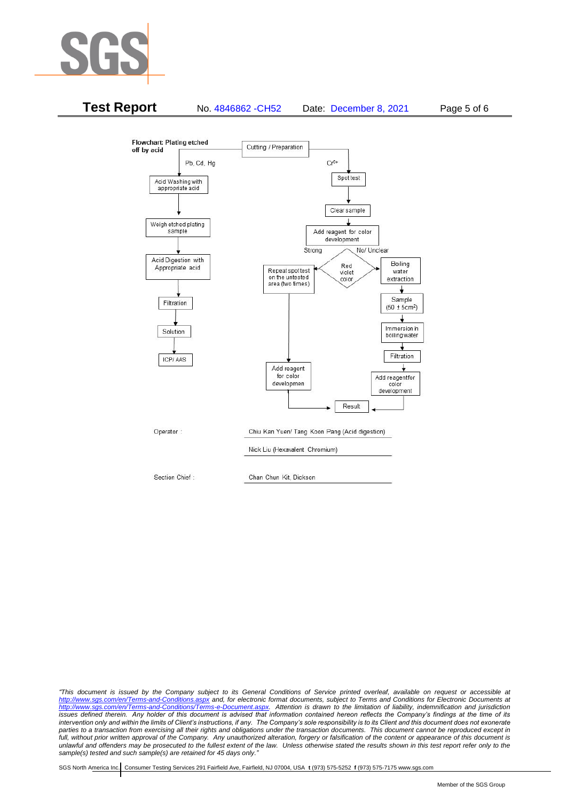



*"This document is issued by the Company subject to its General Conditions of Service printed overleaf, available on request or accessible at <http://www.sgs.com/en/Terms-and-Conditions.aspx> and, for electronic format documents, subject to Terms and Conditions for Electronic Documents at [http://www.sgs.com/en/Terms-and-Conditions/Terms-e-Document.aspx.](http://www.sgs.com/en/Terms-and-Conditions/Terms-e-Document.aspx) Attention is drawn to the limitation of liability, indemnification and jurisdiction issues defined therein. Any holder of this document is advised that information contained hereon reflects the Company's findings at the time of its intervention only and within the limits of Client's instructions, if any. The Company's sole responsibility is to its Client and this document does not exonerate*  parties to a transaction from exercising all their rights and obligations under the transaction documents. This document cannot be reproduced except in *full, without prior written approval of the Company. Any unauthorized alteration, forgery or falsification of the content or appearance of this document is unlawful and offenders may be prosecuted to the fullest extent of the law. Unless otherwise stated the results shown in this test report refer only to the sample(s) tested and such sample(s) are retained for 45 days only."*